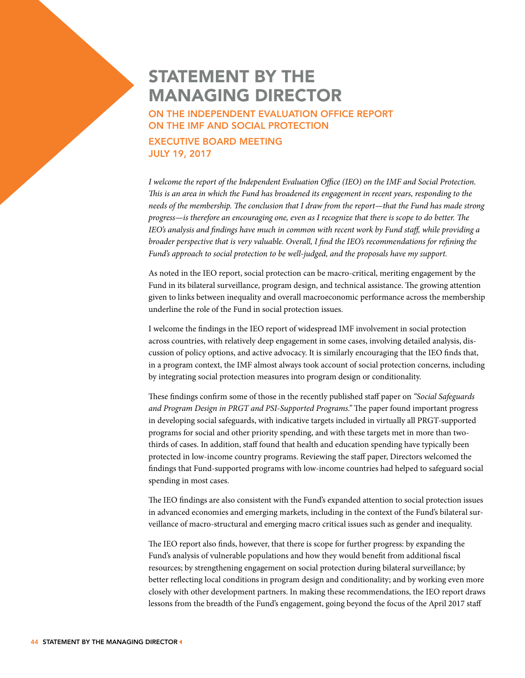## STATEMENT BY THE MANAGING DIRECTOR

ON THE INDEPENDENT EVALUATION OFFICE REPORT ON THE IMF AND SOCIAL PROTECTION

EXECUTIVE BOARD MEETING JULY 19, 2017

*I welcome the report of the Independent Evaluation Office (IEO) on the IMF and Social Protection. This is an area in which the Fund has broadened its engagement in recent years, responding to the needs of the membership. The conclusion that I draw from the report—that the Fund has made strong progress—is therefore an encouraging one, even as I recognize that there is scope to do better. The IEO's analysis and findings have much in common with recent work by Fund staff, while providing a broader perspective that is very valuable. Overall, I find the IEO's recommendations for refining the Fund's approach to social protection to be well-judged, and the proposals have my support.*

As noted in the IEO report, social protection can be macro-critical, meriting engagement by the Fund in its bilateral surveillance, program design, and technical assistance. The growing attention given to links between inequality and overall macroeconomic performance across the membership underline the role of the Fund in social protection issues.

I welcome the findings in the IEO report of widespread IMF involvement in social protection across countries, with relatively deep engagement in some cases, involving detailed analysis, discussion of policy options, and active advocacy. It is similarly encouraging that the IEO finds that, in a program context, the IMF almost always took account of social protection concerns, including by integrating social protection measures into program design or conditionality.

These findings confirm some of those in the recently published staff paper on *"Social Safeguards and Program Design in PRGT and PSI-Supported Programs."* The paper found important progress in developing social safeguards, with indicative targets included in virtually all PRGT-supported programs for social and other priority spending, and with these targets met in more than twothirds of cases. In addition, staff found that health and education spending have typically been protected in low-income country programs. Reviewing the staff paper, Directors welcomed the findings that Fund-supported programs with low-income countries had helped to safeguard social spending in most cases.

The IEO findings are also consistent with the Fund's expanded attention to social protection issues in advanced economies and emerging markets, including in the context of the Fund's bilateral surveillance of macro-structural and emerging macro critical issues such as gender and inequality.

The IEO report also finds, however, that there is scope for further progress: by expanding the Fund's analysis of vulnerable populations and how they would benefit from additional fiscal resources; by strengthening engagement on social protection during bilateral surveillance; by better reflecting local conditions in program design and conditionality; and by working even more closely with other development partners. In making these recommendations, the IEO report draws lessons from the breadth of the Fund's engagement, going beyond the focus of the April 2017 staff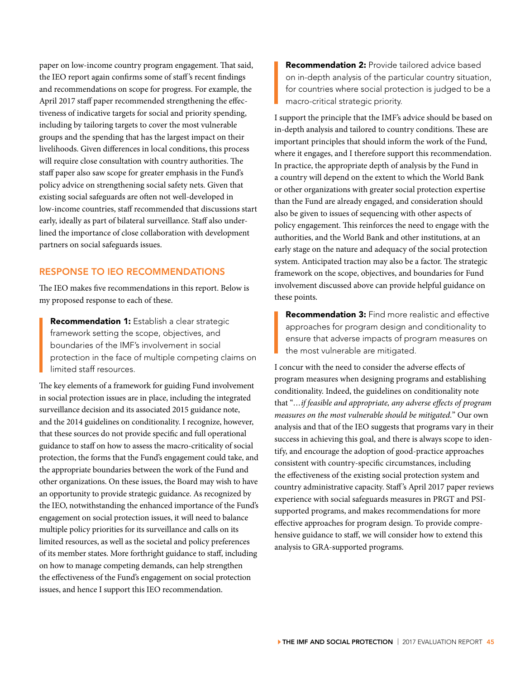paper on low-income country program engagement. That said, the IEO report again confirms some of staff 's recent findings and recommendations on scope for progress. For example, the April 2017 staff paper recommended strengthening the effectiveness of indicative targets for social and priority spending, including by tailoring targets to cover the most vulnerable groups and the spending that has the largest impact on their livelihoods. Given differences in local conditions, this process will require close consultation with country authorities. The staff paper also saw scope for greater emphasis in the Fund's policy advice on strengthening social safety nets. Given that existing social safeguards are often not well-developed in low-income countries, staff recommended that discussions start early, ideally as part of bilateral surveillance. Staff also underlined the importance of close collaboration with development partners on social safeguards issues.

## RESPONSE TO IEO RECOMMENDATIONS

The IEO makes five recommendations in this report. Below is my proposed response to each of these.

**Recommendation 1:** Establish a clear strategic framework setting the scope, objectives, and boundaries of the IMF's involvement in social protection in the face of multiple competing claims on limited staff resources.

The key elements of a framework for guiding Fund involvement in social protection issues are in place, including the integrated surveillance decision and its associated 2015 guidance note, and the 2014 guidelines on conditionality. I recognize, however, that these sources do not provide specific and full operational guidance to staff on how to assess the macro-criticality of social protection, the forms that the Fund's engagement could take, and the appropriate boundaries between the work of the Fund and other organizations. On these issues, the Board may wish to have an opportunity to provide strategic guidance. As recognized by the IEO, notwithstanding the enhanced importance of the Fund's engagement on social protection issues, it will need to balance multiple policy priorities for its surveillance and calls on its limited resources, as well as the societal and policy preferences of its member states. More forthright guidance to staff, including on how to manage competing demands, can help strengthen the effectiveness of the Fund's engagement on social protection issues, and hence I support this IEO recommendation.

Recommendation 2: Provide tailored advice based on in-depth analysis of the particular country situation, for countries where social protection is judged to be a macro-critical strategic priority.

I support the principle that the IMF's advice should be based on in-depth analysis and tailored to country conditions. These are important principles that should inform the work of the Fund, where it engages, and I therefore support this recommendation. In practice, the appropriate depth of analysis by the Fund in a country will depend on the extent to which the World Bank or other organizations with greater social protection expertise than the Fund are already engaged, and consideration should also be given to issues of sequencing with other aspects of policy engagement. This reinforces the need to engage with the authorities, and the World Bank and other institutions, at an early stage on the nature and adequacy of the social protection system. Anticipated traction may also be a factor. The strategic framework on the scope, objectives, and boundaries for Fund involvement discussed above can provide helpful guidance on these points.

**Recommendation 3:** Find more realistic and effective approaches for program design and conditionality to ensure that adverse impacts of program measures on the most vulnerable are mitigated.

I concur with the need to consider the adverse effects of program measures when designing programs and establishing conditionality. Indeed, the guidelines on conditionality note that "*…if feasible and appropriate, any adverse effects of program measures on the most vulnerable should be mitigated.*" Our own analysis and that of the IEO suggests that programs vary in their success in achieving this goal, and there is always scope to identify, and encourage the adoption of good-practice approaches consistent with country-specific circumstances, including the effectiveness of the existing social protection system and country administrative capacity. Staff 's April 2017 paper reviews experience with social safeguards measures in PRGT and PSIsupported programs, and makes recommendations for more effective approaches for program design. To provide comprehensive guidance to staff, we will consider how to extend this analysis to GRA-supported programs.